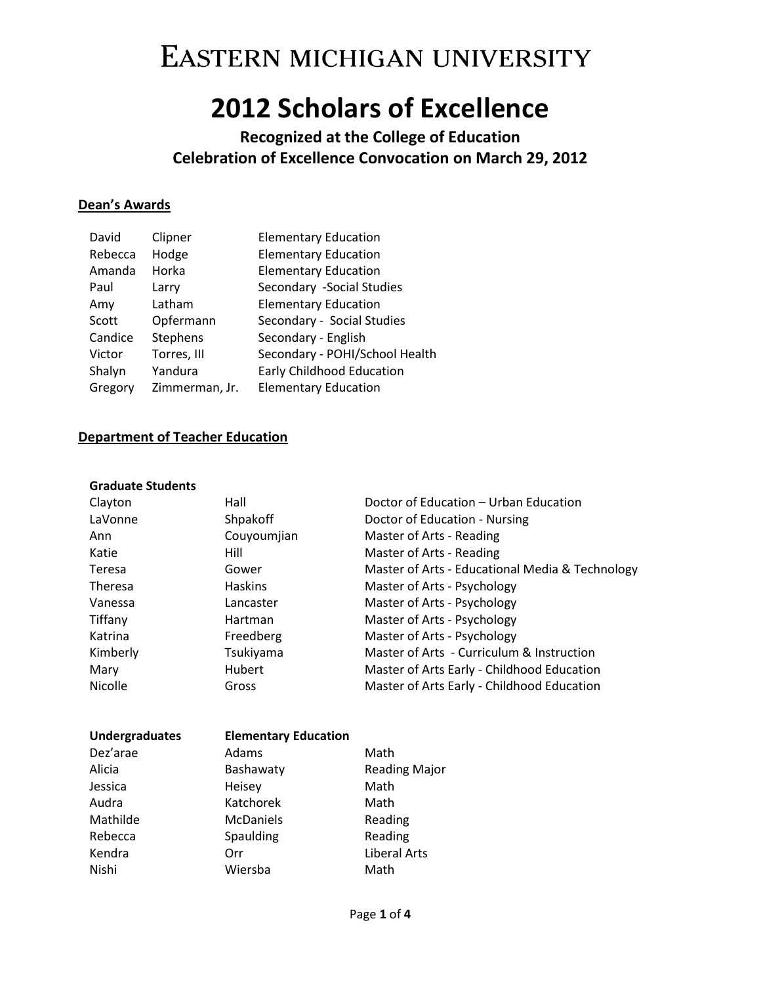## **2012 Scholars of Excellence**

**Recognized at the College of Education Celebration of Excellence Convocation on March 29, 2012**

### **Dean's Awards**

| David   | Clipner        | <b>Elementary Education</b>    |
|---------|----------------|--------------------------------|
| Rebecca | Hodge          | <b>Elementary Education</b>    |
| Amanda  | Horka          | <b>Elementary Education</b>    |
| Paul    | Larry          | Secondary -Social Studies      |
| Amy     | Latham         | <b>Elementary Education</b>    |
| Scott   | Opfermann      | Secondary - Social Studies     |
| Candice | Stephens       | Secondary - English            |
| Victor  | Torres, III    | Secondary - POHI/School Health |
| Shalyn  | Yandura        | Early Childhood Education      |
| Gregory | Zimmerman, Jr. | <b>Elementary Education</b>    |

#### **Department of Teacher Education**

#### **Graduate Students**

| Clayton        | Hall             | Doctor of Education - Urban Education           |
|----------------|------------------|-------------------------------------------------|
| LaVonne        | Shpakoff         | Doctor of Education - Nursing                   |
| Ann            | Couyoumjian      | Master of Arts - Reading                        |
| Katie          | Hill             | Master of Arts - Reading                        |
| Teresa         | Gower            | Master of Arts - Educational Media & Technology |
| <b>Theresa</b> | <b>Haskins</b>   | Master of Arts - Psychology                     |
| Vanessa        | Lancaster        | Master of Arts - Psychology                     |
| Tiffany        | Hartman          | Master of Arts - Psychology                     |
| Katrina        | Freedberg        | Master of Arts - Psychology                     |
| Kimberly       | <b>Tsukiyama</b> | Master of Arts - Curriculum & Instruction       |
| Mary           | <b>Hubert</b>    | Master of Arts Early - Childhood Education      |
| Nicolle        | Gross            | Master of Arts Early - Childhood Education      |

| <b>Undergraduates</b> | <b>Elementary Education</b> |                      |
|-----------------------|-----------------------------|----------------------|
| Dez'arae              | Adams                       | Math                 |
| Alicia                | Bashawaty                   | <b>Reading Major</b> |
| Jessica               | Heisey                      | Math                 |
| Audra                 | Katchorek                   | Math                 |
| Mathilde              | <b>McDaniels</b>            | Reading              |
| Rebecca               | Spaulding                   | Reading              |
| Kendra                | Orr                         | <b>Liberal Arts</b>  |
| Nishi                 | Wiersba                     | Math                 |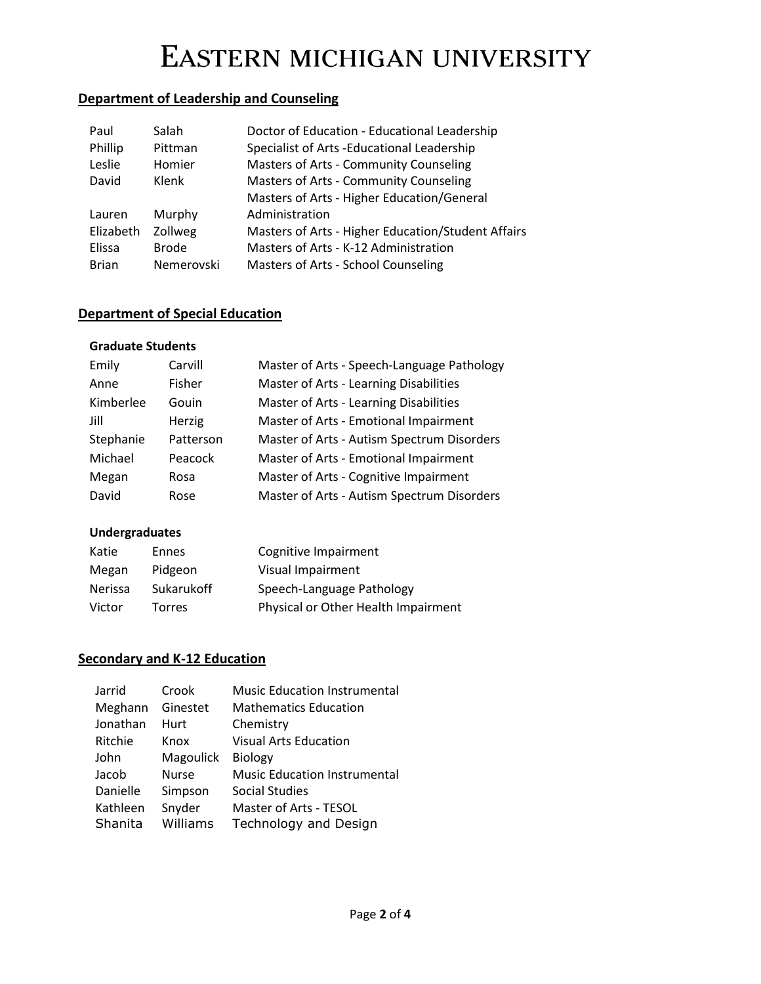## **Department of Leadership and Counseling**

| Paul         | Salah        | Doctor of Education - Educational Leadership       |
|--------------|--------------|----------------------------------------------------|
| Phillip      | Pittman      | Specialist of Arts -Educational Leadership         |
| Leslie       | Homier       | Masters of Arts - Community Counseling             |
| David        | Klenk        | Masters of Arts - Community Counseling             |
|              |              | Masters of Arts - Higher Education/General         |
| Lauren       | Murphy       | Administration                                     |
| Elizabeth    | Zollweg      | Masters of Arts - Higher Education/Student Affairs |
| Elissa       | <b>Brode</b> | Masters of Arts - K-12 Administration              |
| <b>Brian</b> | Nemerovski   | Masters of Arts - School Counseling                |

### **Department of Special Education**

#### **Graduate Students**

| Emily     | Carvill   | Master of Arts - Speech-Language Pathology |
|-----------|-----------|--------------------------------------------|
| Anne      | Fisher    | Master of Arts - Learning Disabilities     |
| Kimberlee | Gouin     | Master of Arts - Learning Disabilities     |
| Jill      | Herzig    | Master of Arts - Emotional Impairment      |
| Stephanie | Patterson | Master of Arts - Autism Spectrum Disorders |
| Michael   | Peacock   | Master of Arts - Emotional Impairment      |
| Megan     | Rosa      | Master of Arts - Cognitive Impairment      |
| David     | Rose      | Master of Arts - Autism Spectrum Disorders |

### **Undergraduates**

| Katie   | Ennes      | Cognitive Impairment                |
|---------|------------|-------------------------------------|
| Megan   | Pidgeon    | Visual Impairment                   |
| Nerissa | Sukarukoff | Speech-Language Pathology           |
| Victor  | Torres     | Physical or Other Health Impairment |

### **Secondary and K-12 Education**

| Jarrid   | Crook        | <b>Music Education Instrumental</b> |
|----------|--------------|-------------------------------------|
| Meghann  | Ginestet     | <b>Mathematics Education</b>        |
| Jonathan | Hurt         | Chemistry                           |
| Ritchie  | Knox         | <b>Visual Arts Education</b>        |
| John     | Magoulick    | <b>Biology</b>                      |
| Jacob    | <b>Nurse</b> | <b>Music Education Instrumental</b> |
| Danielle | Simpson      | <b>Social Studies</b>               |
| Kathleen | Snyder       | Master of Arts - TESOL              |
| Shanita  | Williams     | Technology and Design               |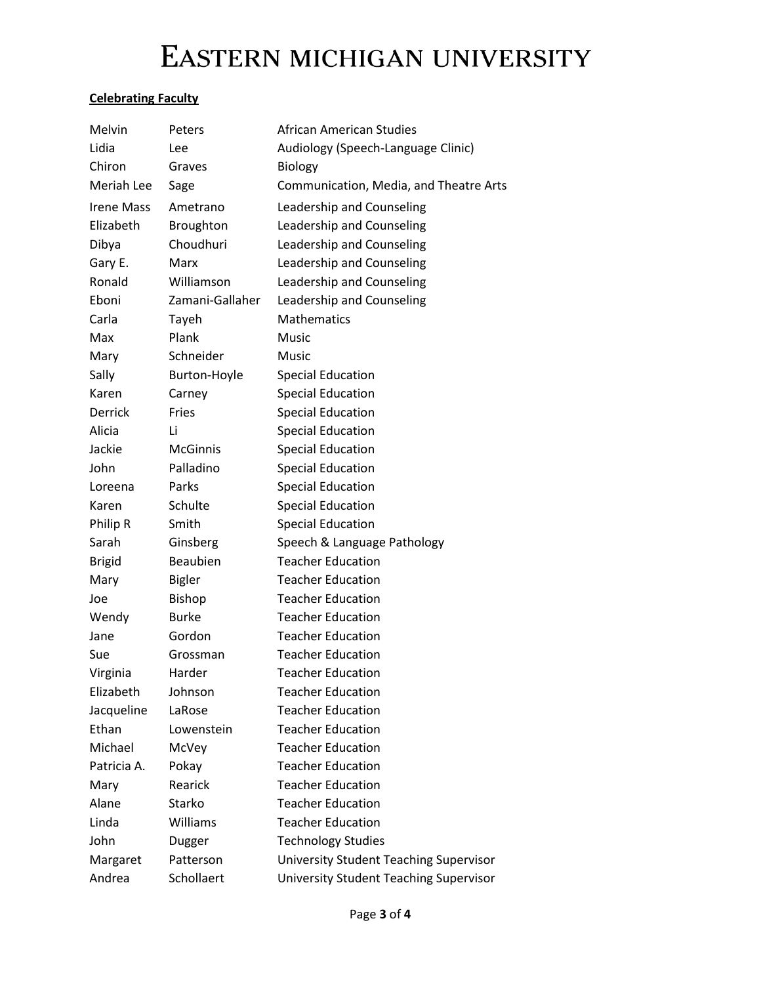### **Celebrating Faculty**

| Melvin            | Peters          | African American Studies               |
|-------------------|-----------------|----------------------------------------|
| Lidia             | Lee             | Audiology (Speech-Language Clinic)     |
| Chiron            | Graves          | <b>Biology</b>                         |
| Meriah Lee        | Sage            | Communication, Media, and Theatre Arts |
| <b>Irene Mass</b> | Ametrano        | Leadership and Counseling              |
| Elizabeth         | Broughton       | Leadership and Counseling              |
| Dibya             | Choudhuri       | Leadership and Counseling              |
| Gary E.           | Marx            | Leadership and Counseling              |
| Ronald            | Williamson      | Leadership and Counseling              |
| Eboni             | Zamani-Gallaher | Leadership and Counseling              |
| Carla             | Tayeh           | <b>Mathematics</b>                     |
| Max               | Plank           | Music                                  |
| Mary              | Schneider       | Music                                  |
| Sally             | Burton-Hoyle    | <b>Special Education</b>               |
| Karen             | Carney          | <b>Special Education</b>               |
| <b>Derrick</b>    | Fries           | <b>Special Education</b>               |
| Alicia            | Li              | <b>Special Education</b>               |
| Jackie            | <b>McGinnis</b> | <b>Special Education</b>               |
| John              | Palladino       | <b>Special Education</b>               |
| Loreena           | Parks           | <b>Special Education</b>               |
| Karen             | Schulte         | <b>Special Education</b>               |
| Philip R          | Smith           | <b>Special Education</b>               |
| Sarah             | Ginsberg        | Speech & Language Pathology            |
| <b>Brigid</b>     | Beaubien        | <b>Teacher Education</b>               |
| Mary              | <b>Bigler</b>   | <b>Teacher Education</b>               |
| Joe               | <b>Bishop</b>   | <b>Teacher Education</b>               |
| Wendy             | <b>Burke</b>    | <b>Teacher Education</b>               |
| Jane              | Gordon          | <b>Teacher Education</b>               |
| Sue               | Grossman        | <b>Teacher Education</b>               |
| Virginia          | Harder          | <b>Teacher Education</b>               |
| Elizabeth         | Johnson         | <b>Teacher Education</b>               |
| Jacqueline        | LaRose          | <b>Teacher Education</b>               |
| Ethan             | Lowenstein      | <b>Teacher Education</b>               |
| Michael           | McVey           | <b>Teacher Education</b>               |
| Patricia A.       | Pokay           | <b>Teacher Education</b>               |
| Mary              | Rearick         | <b>Teacher Education</b>               |
| Alane             | Starko          | <b>Teacher Education</b>               |
| Linda             | Williams        | <b>Teacher Education</b>               |
| John              | Dugger          | <b>Technology Studies</b>              |
| Margaret          | Patterson       | University Student Teaching Supervisor |
| Andrea            | Schollaert      | University Student Teaching Supervisor |